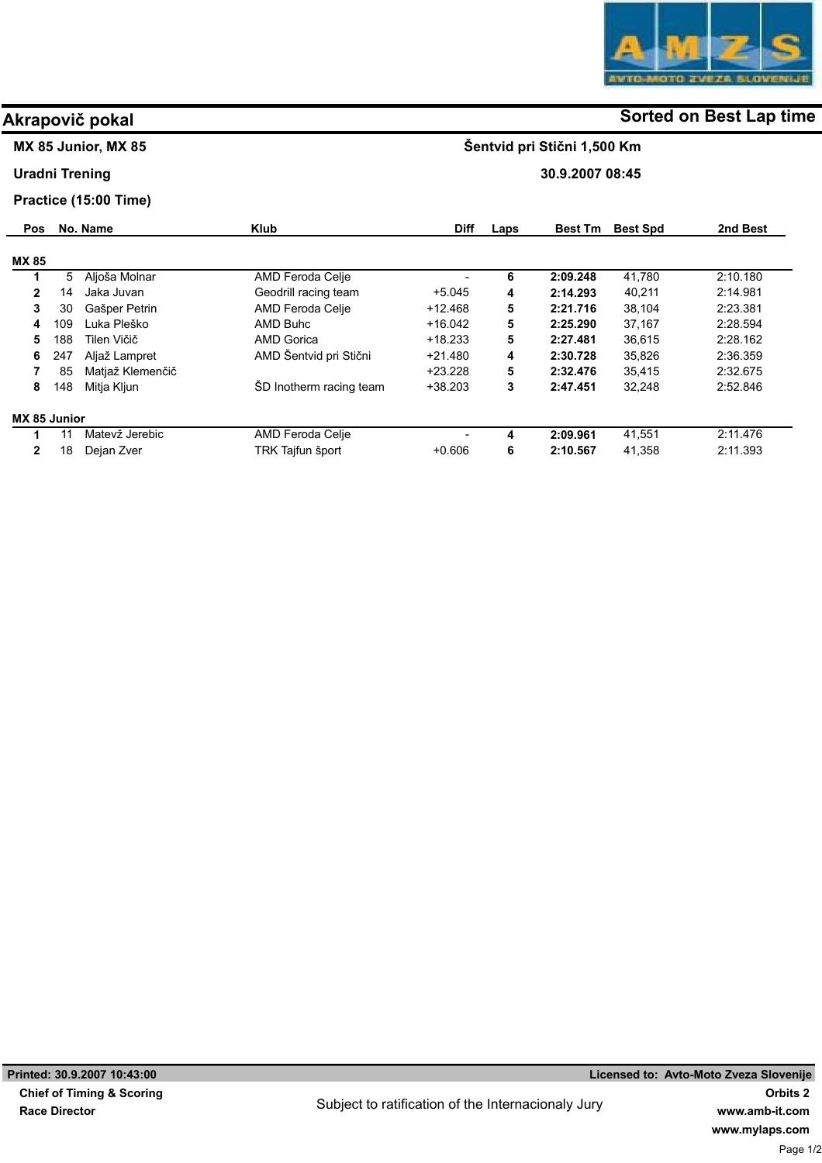

## MX 85 Junior, MX 85

### Uradni Trening

### Practice (15:00 Time)

| <b>Pos</b>   |     | No. Name         | <b>Klub</b>             | <b>Diff</b> | Laps | <b>Best Tm</b> | <b>Best Spd</b> | 2nd Best |
|--------------|-----|------------------|-------------------------|-------------|------|----------------|-----------------|----------|
| <b>MX 85</b> |     |                  |                         |             |      |                |                 |          |
|              | 5   | Aljoša Molnar    | AMD Feroda Celje        |             | 6    | 2:09.248       | 41,780          | 2.10.180 |
| $\mathbf{2}$ | 14  | Jaka Juvan       | Geodrill racing team    | +5.045      | 4    | 2:14.293       | 40,211          | 2.14.981 |
| 3            | 30  | Gašper Petrin    | AMD Feroda Celje        | $+12.468$   | 5    | 2:21.716       | 38.104          | 2:23.381 |
| 4            | 109 | Luka Pleško      | AMD Buhc                | $+16.042$   | 5    | 2:25.290       | 37,167          | 2:28.594 |
| 5            | 188 | Tilen Vičič      | <b>AMD Gorica</b>       | $+18.233$   | 5    | 2:27.481       | 36.615          | 2:28.162 |
| 6            | 247 | Aljaž Lampret    | AMD Šentvid pri Stični  | $+21.480$   | 4    | 2:30.728       | 35.826          | 2:36.359 |
|              | 85  | Matjaž Klemenčič |                         | $+23.228$   | 5    | 2:32.476       | 35.415          | 2:32.675 |
| 8            | 148 | Mitja Kljun      | SD Inotherm racing team | $+38.203$   | 3    | 2:47.451       | 32,248          | 2:52.846 |
| MX 85 Junior |     |                  |                         |             |      |                |                 |          |
|              | 11  | Matevž Jerebic   | AMD Feroda Celje        |             | 4    | 2:09.961       | 41,551          | 2:11.476 |
| $\mathbf{2}$ | 18  | Dejan Zver       | TRK Tajfun šport        | $+0.606$    | 6    | 2:10.567       | 41,358          | 2:11.393 |

# Akrapovič pokal and some of the society of the Sorted on Best Lap time

Šentvid pri Stični 1,500 Km

30.9.2007 08:45